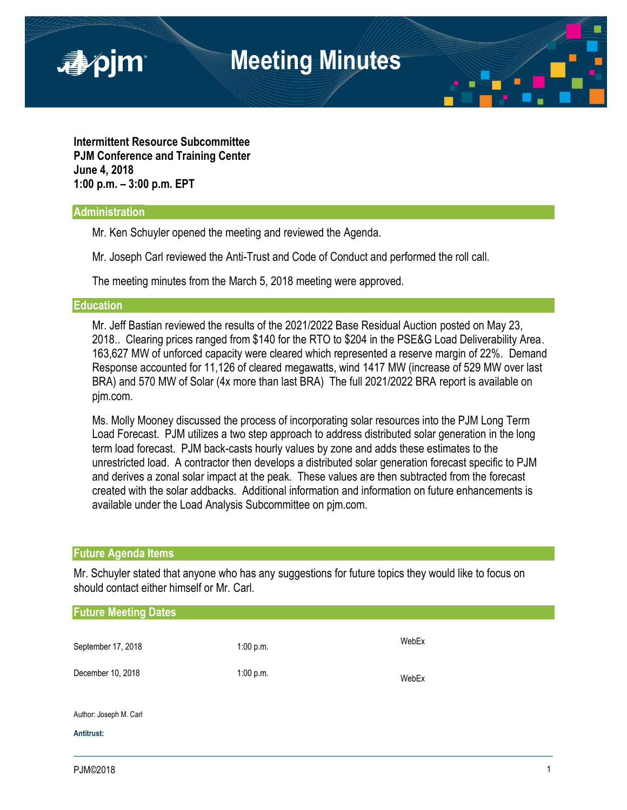

**Intermittent Resource Subcommittee PJM Conference and Training Center June 4, 2018 1:00 p.m. – 3:00 p.m. EPT**

## **Administration**

Mr. Ken Schuyler opened the meeting and reviewed the Agenda.

Mr. Joseph Carl reviewed the Anti-Trust and Code of Conduct and performed the roll call.

The meeting minutes from the March 5, 2018 meeting were approved.

### **Education**

Mr. Jeff Bastian reviewed the results of the 2021/2022 Base Residual Auction posted on May 23, 2018.. Clearing prices ranged from \$140 for the RTO to \$204 in the PSE&G Load Deliverability Area. 163,627 MW of unforced capacity were cleared which represented a reserve margin of 22%. Demand Response accounted for 11,126 of cleared megawatts, wind 1417 MW (increase of 529 MW over last BRA) and 570 MW of Solar (4x more than last BRA) The full 2021/2022 BRA report is available on pjm.com.

Ms. Molly Mooney discussed the process of incorporating solar resources into the PJM Long Term Load Forecast. PJM utilizes a two step approach to address distributed solar generation in the long term load forecast. PJM back-casts hourly values by zone and adds these estimates to the unrestricted load. A contractor then develops a distributed solar generation forecast specific to PJM and derives a zonal solar impact at the peak. These values are then subtracted from the forecast created with the solar addbacks. Additional information and information on future enhancements is available under the Load Analysis Subcommittee on pjm.com.

## **Future Agenda Items**

Mr. Schuyler stated that anyone who has any suggestions for future topics they would like to focus on should contact either himself or Mr. Carl.

| <b>Future Meeting Dates</b>             |                        |       |  |  |
|-----------------------------------------|------------------------|-------|--|--|
| September 17, 2018<br>December 10, 2018 | 1:00 p.m.<br>1:00 p.m. | WebEx |  |  |
|                                         |                        | WebEx |  |  |
|                                         |                        |       |  |  |
| Author: Joseph M. Carl                  |                        |       |  |  |
| Antitrust:                              |                        |       |  |  |
|                                         |                        |       |  |  |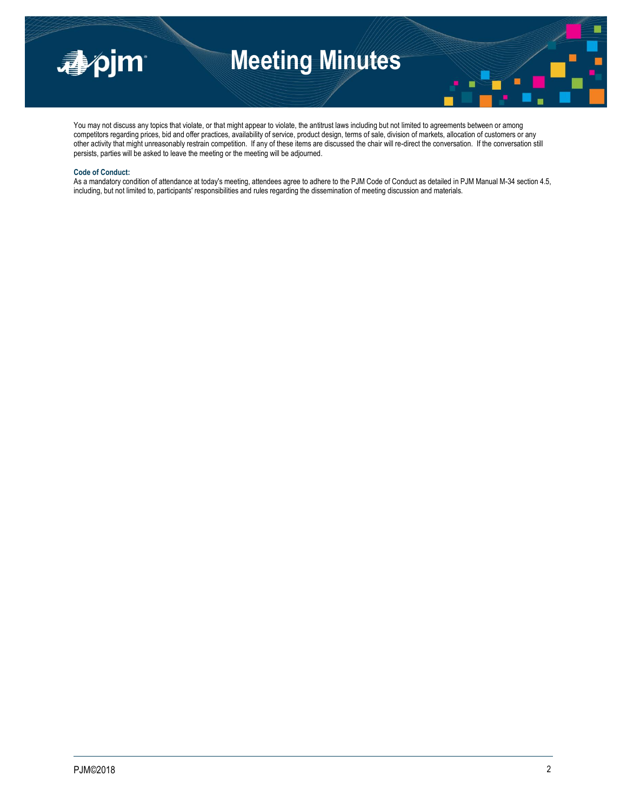

# **Meeting Minutes**



You may not discuss any topics that violate, or that might appear to violate, the antitrust laws including but not limited to agreements between or among competitors regarding prices, bid and offer practices, availability of service, product design, terms of sale, division of markets, allocation of customers or any other activity that might unreasonably restrain competition. If any of these items are discussed the chair will re-direct the conversation. If the conversation still persists, parties will be asked to leave the meeting or the meeting will be adjourned.

#### **Code of Conduct:**

As a mandatory condition of attendance at today's meeting, attendees agree to adhere to the PJM Code of Conduct as detailed in PJM Manual M-34 section 4.5, including, but not limited to, participants' responsibilities and rules regarding the dissemination of meeting discussion and materials.